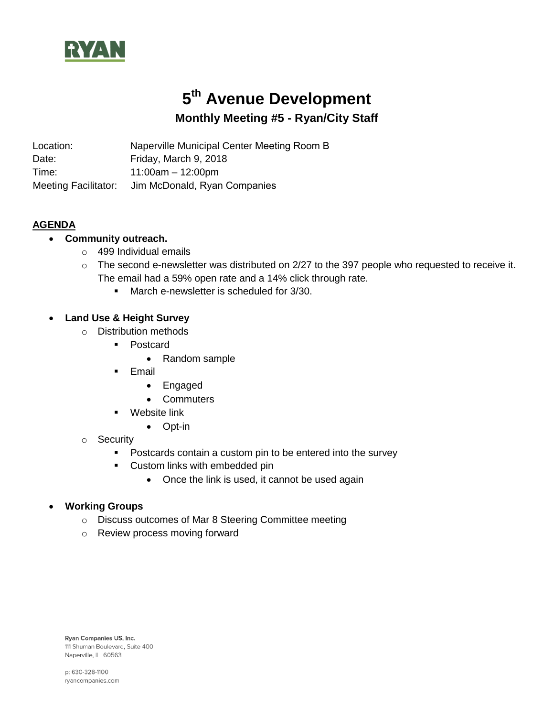

# **5 th Avenue Development Monthly Meeting #5 - Ryan/City Staff**

Location: Naperville Municipal Center Meeting Room B Date: Friday, March 9, 2018 Time: 11:00am – 12:00pm

Meeting Facilitator: Jim McDonald, Ryan Companies

## **AGENDA**

# **Community outreach.**

- $\circ$  499 Individual emails
- o The second e-newsletter was distributed on 2/27 to the 397 people who requested to receive it. The email had a 59% open rate and a 14% click through rate.
	- March e-newsletter is scheduled for 3/30.

## **Land Use & Height Survey**

- o Distribution methods
	- Postcard
		- Random sample
	- **Email** 
		- Engaged
		- Commuters
	- **Website link** 
		- Opt-in
- o Security
	- **Postcards contain a custom pin to be entered into the survey**
	- **Custom links with embedded pin** 
		- Once the link is used, it cannot be used again

#### **Working Groups**

- o Discuss outcomes of Mar 8 Steering Committee meeting
- o Review process moving forward

Ryan Companies US, Inc. 111 Shuman Boulevard, Suite 400 Naperville, IL 60563